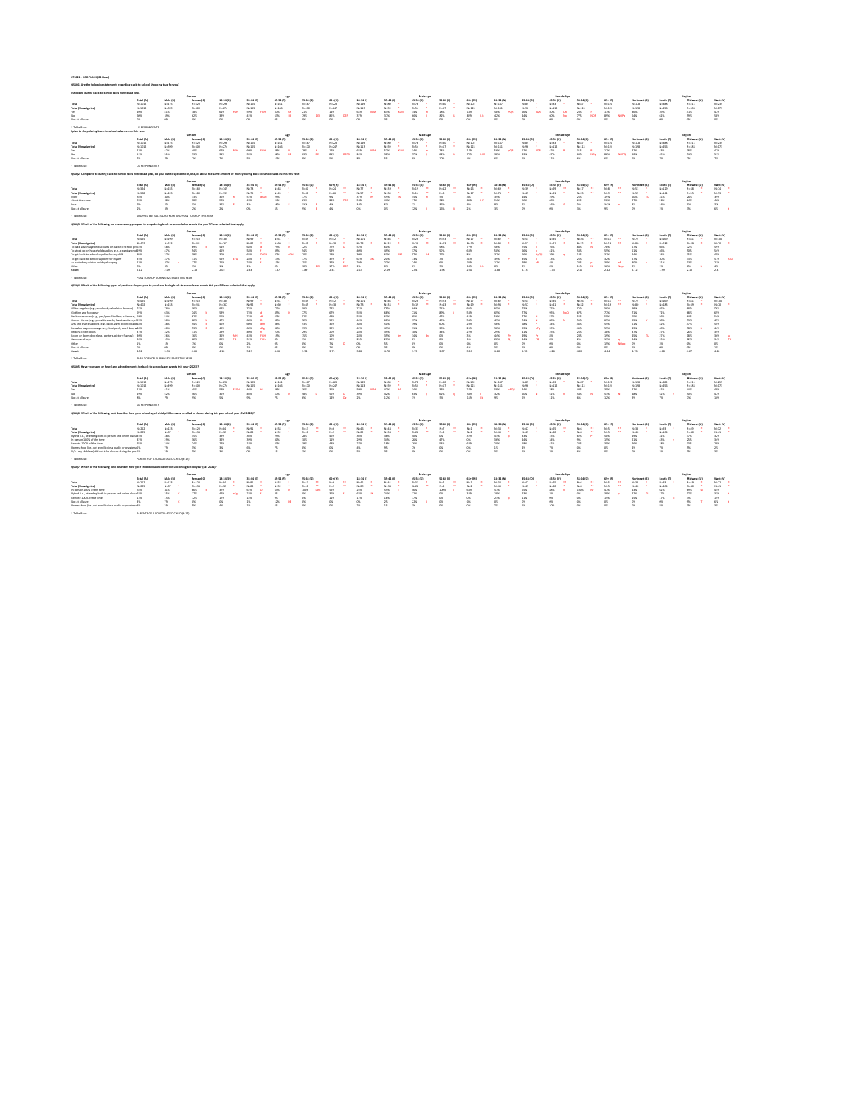### **071621 - HOD FLASH (24 Hour)**

### **QS1Q1: Are the following statements regarding back-to-school shopping true for you?**

Not at all sure 7% 7% 7% 7% 5% 10% 8% 5% 8% 5% 9% 10% 4% 6% 5% 11% 6% 6% 6% 7% 7% 7%

\* Table Base: US RESPONDENTS

## **QS1Q2: Compared to during back-to-school sales events last year, do you plan to spend more, less, or about the same amount of money during back-to-school sales events this year?**

\* Table Base: SHOPPED B2S SALES LAST YEAR AND PLAN TO SHOP THIS YEAR

## **QS1Q3: Which of the following are reasons why you plan to shop during back-to-school sales events this year? Please select all that apply.**

\* Table Base: PLAN TO SHOP DURING B2S SALES THIS YEAR

# **QS1Q4: Which of the following types of products do you plan to purchase during back-to-school sales events this year? Please select all that apply.**

| I shopped during back-to-school sales events last year.      |                |           |            |            |            |           |            |           |           |           |                 |           |           |            |           |                   |           |           |              |           |               |           |
|--------------------------------------------------------------|----------------|-----------|------------|------------|------------|-----------|------------|-----------|-----------|-----------|-----------------|-----------|-----------|------------|-----------|-------------------|-----------|-----------|--------------|-----------|---------------|-----------|
|                                                              |                |           | Gender     |            |            | Age       |            |           |           |           | <b>Male Age</b> |           |           |            |           | <b>Female Age</b> |           |           |              |           | <b>Region</b> |           |
|                                                              | Total (A)      | Male (B)  | Female (C) | 18-34 (D)  | $35-44(E)$ | 45-54 (F) | 55-64 (G)  | 65+ (H)   | 18-34 (I) | 35-44 (J) | 45-54 (K)       | 55-64 (L  | 65+ (M)   | 18-34 (N)  | 35-44 (O) | 45-54 (P)         | 55-64 (Q) | 65+ (R)   | Northeast    | South (T) | Midwest       | West (V)  |
| <b>Total</b>                                                 | $N = 1012$     | $N = 475$ | $N = 520$  | $N = 296$  | $N = 165$  | $N = 161$ | $N = 167$  | $N = 223$ | N=149     | $N=80$    | $N=78$          | $N = 80$  | $N = 102$ | $N = 147$  | $N = 85$  | N=83              | $N=87$    | $N = 121$ | $N = 178$    | $N = 388$ | $N = 211$     | $N = 235$ |
| <b>Total (Unweighted</b>                                     | $N = 1012$     | $N = 399$ | $N = 600$  | $N = 274$  | $N = 155$  | N=166     | $N = 170$  | $N = 247$ | $N = 113$ | $N = 59$  | N=54            | $N=57$    | $N = 123$ | $N = 161$  | $N=96$    | $N = 112$         | $N = 113$ | $N = 124$ | $N = 198$    | N=456     | N=185         | $N = 173$ |
| Yes                                                          | 40%            |           | 38%        | 61%        | 59%        |           |            | 14%       | 63%       |           |                 | 18%       | 18%       | 58%        | 56%       | 40%               |           | 11%       | 36%          | 39%       | 41%           | 42%       |
| No                                                           | 60%            |           | 62%        | 39%        | 41%        |           | 79%<br>DEE |           |           |           | 66%             | 82%       |           | 42%        | 44%       | 60%               | 77%       | 89%       | 64%          | 61%       | 59%           | 58%       |
| Not at all sure                                              | 0%             |           | 0%         | 0%         | 0%         | 0%        | 0%         | 0%        | 0%        | 0%        | 0%              | 0%        | 0%        | - 0%       | 0%        | 0%                |           |           | 0%           | 0%        | 0%            | 0%        |
| * Table Base:                                                | US RESPONDENTS |           |            |            |            |           |            |           |           |           |                 |           |           |            |           |                   |           |           |              |           |               |           |
| I plan to shop during back-to-school sales events this year. |                |           |            |            |            |           |            |           |           |           |                 |           |           |            |           |                   |           |           |              |           |               |           |
|                                                              |                |           | Gender     |            |            | Age       |            |           |           |           | <b>Male Age</b> |           |           |            |           | <b>Female Age</b> |           |           |              |           | Region        |           |
|                                                              | Total (A)      | Male (B)  | Female (C) | $18-34(D)$ | $35-44(E)$ | 45-54 (F) | 55-64 (G)  | 65+ (H)   | 18-34 (I) | 35-44 (J) | 45-54 (K)       | 55-64 (L) | 65+ (M)   | $18-34(N)$ | 35-44 (O) | 45-54 (P)         | 55-64 (Q) | 65+ (R)   | Northeast (! | South (T) | Midwest       | West (V)  |
| <b>Total</b>                                                 | $N = 1012$     | $N = 475$ | $N = 520$  | $N = 296$  | $N = 165$  | $N = 161$ | $N = 167$  | $N = 223$ | N=149     | $N=80$    | $N=78$          | $N=80$    | $N = 102$ | $N = 147$  | $N = 85$  | N=83              | $N=87$    | $N = 121$ | $N = 178$    | $N = 388$ | $N = 211$     | $N = 235$ |
| <b>Total (Unweighted</b>                                     | $N = 1012$     | $N = 399$ | $N = 600$  | $N = 274$  | $N = 155$  | $N = 166$ | $N = 170$  | $N = 247$ | $N = 113$ | $N = 59$  | N=54            | $N=57$    | $N = 123$ | $N = 161$  | N=96      | $N = 112$         | $N = 113$ | $N = 124$ | $N = 198$    | $N = 456$ | $N = 185$     | $N = 173$ |
| Yes                                                          | 42%            | 42%       | 40%        | 62%        | ናበ%        |           | 29%        | 14%       | 68%       |           |                 | 28%       | 17%       | 56%        |           | 42%               |           | 12%       | 42%          | 43%       | 38%           | 42%       |
| No                                                           | 51%            | 51%       | 53%        | 31%        | 35%        | 52%       | 63%        |           |           | 38%       | ,7%             | 62%       | 79%       | 38%        |           | 47%               | 63%       | 82%       | 52%          | 49%       | 54%           | 51%       |

|                 |           |          | Gender     |           |                           |           |           |             |           |                       | Male Age  |           |                             |                                                                                                                   |           |           |           |          |               |           |                                                                                                                                |          |
|-----------------|-----------|----------|------------|-----------|---------------------------|-----------|-----------|-------------|-----------|-----------------------|-----------|-----------|-----------------------------|-------------------------------------------------------------------------------------------------------------------|-----------|-----------|-----------|----------|---------------|-----------|--------------------------------------------------------------------------------------------------------------------------------|----------|
|                 |           | Male (B) | Female (C) | 18-34 (D) | 35-44 (E)                 | 45-54 (F) | 55-64 (G) | 65+ (H)     | 18-34 (I) | 35-44 (J)             | 45-54 (K) | 55-64 (L) | 65+ (M)                     | 18-34 (N)                                                                                                         | 35-44 (O) | 45-54 (P) | 55-64 (Q) | 65+ (R)  | Northeast (S) | South (T) | Midwest (U)                                                                                                                    | West (V) |
| Total           | $N = 324$ | N=155    | $N = 160$  | $N = 145$ |                           |           |           |             |           |                       |           |           |                             |                                                                                                                   |           |           |           |          |               |           | N=78 * N=48 * N=30 * N=24 ** N=77 * N=39 * N=19 ** N=12 ** N=59 * N=29 ** N=29 ** N=29 ** N=29 ** N=29 ** N=53 * N=68 * N=74 * |          |
|                 | N=308     | $N=123$  | N=180      | N=131     |                           |           |           |             |           |                       |           |           |                             | N=75 * N=45 * N=31 * N=26 ** N=57 * N=30 * N=14 ** N=8 ** N=74 * N=74 * N=74 * N=31 * N=23 ** N=9 ** N=59 * N=141 |           |           |           |          |               |           | N=55 * N=53 *                                                                                                                  |          |
| More            |           | 40%      |            |           | 36% h    51%   dfGH   29% |           | 17%       | $9\%$       |           | 37% m 59% lM 45% m 5% |           |           | $4\%$                       | 35%                                                                                                               | 44%       | 19%       | 26%       | 19%      | 50% TU 31%    |           | 26%        39%                                                                                                                 |          |
| About the same  |           | 48%      |            | 52%       | 48%                       | 54%       | 63%       | 83% DEf 50% |           | 40% 37%               |           |           | 58%        94%   IJK    54% |                                                                                                                   | 56%       | 66%       | 66%       | 59%      | 47%           | 58%       | 64%                                                                                                                            | 46%      |
| Less            |           | 9%       |            | 10% E     |                           |           |           | 4%          | 13%       | 2% 7%                 |           | 20%       | $\sim$ 0%                   | 8%                                                                                                                | 0%        | 16% O     | $5\%$     | 14% o 4% |               |           | 7%                                                                                                                             |          |
| Not at all sure |           |          |            |           |                           |           |           | 4%          | U%        |                       |           |           |                             | 3%                                                                                                                |           |           |           |          |               |           |                                                                                                                                |          |

\* Table Base: PLAN TO SHOP DURING B2S SALES THIS YEAR

### **QS1Q5: Have your seen or heard any advertisements for back-to-school sales events this year (2021)?**

|                                                            |           |           |           |           |           |           |           |         |             |                   | Male Age  |           |           |           |                    | <b>Female Ag</b> |          |         |               |           | <b>Regio</b> |          |
|------------------------------------------------------------|-----------|-----------|-----------|-----------|-----------|-----------|-----------|---------|-------------|-------------------|-----------|-----------|-----------|-----------|--------------------|------------------|----------|---------|---------------|-----------|--------------|----------|
|                                                            | Total (A) | Male (B)  | Female (C | 18-34 (D) | 35-44 (E) | 45-54 (F) | 55-64 (G) | 65+ (H) | $18-34$ (I) | 35-44 (J)         | 45-54 (K) | 55-64 (L) | $65+ (M)$ | 18-34 (N) | 35-44 (O)          | 45-54 (P)        | 55-64 (Q | 65+ (R) | Northeast (S) | South (1  | Midwest (U)  | West (V) |
| Total                                                      | N=425     | $N = 199$ | $N = 210$ | $N = 184$ | $N = 99$  | N=61      | N=49      |         | $N = 101$   | N=46              | $N = 26$  | $N = 23$  | $N = 17$  | $N = 82$  | $N=53$             | $N = 35$         | $N=26$   | N=15    |               | $N = 169$ | N=81         | N=100    |
|                                                            | N=402     | $N = 153$ | $N = 241$ | $N = 167$ | $N=92$    | $N = 60$  | $N = 45$  | N=38    | N=73        | $N = 35$          | $N = 19$  | $N = 13$  | $N=19$    | N=94      | N=57               | $N = 41$         | $N=32$   | $N=19$  |               | $N = 183$ | N=69         | $N = 70$ |
| To take advantage of discounts on back-to-school nrc 64%   |           |           | 69%       | 54%       | 68%       | 75%       |           |         | 52%         | 61%               |           | 58%       |           | 56%       | 75%                | 76%              | 84%      | 78%     |               | 66%       |              |          |
| To stock up on household supplies (e.g., cleaning proc 49% |           |           | 54%       | 45%       | 58%       | 39%       | 54%       |         | 40%         | 49%               |           | 50%       | 63%       | 50%       | 66%                | 41%              | 58%      | 55%     |               | 46%       | 50%          |          |
| To get back-to-school supplies for my child                |           |           | 39%       | 30%       | 65%       | 47%       |           |         | 30%         | 63%<br><b>IIM</b> | 57%       | 27%       |           | 32%       | 66%<br><b>NDOR</b> | 39%              | 14%      |         | 44%           | 34%       | 35%          |          |
| To get back-to-school supplies for myself                  |           |           | 31%       | 52%       |           | 13%       | $1/$ %    |         | 62%         | 20%               |           | $1\%$     | 41%       | 39%       | 35%                | 13%              | 25%      |         |               | 30%       | 33%          | 51%      |
| As part of my winter holiday shopping I                    |           |           |           | 21%       | 28%       | 13%       |           |         | 29%         | 27%               | 24%       | 6%        |           | 12%       | 29%                | 4%               | 23%      |         |               |           | 13%          |          |
|                                                            |           |           |           |           | 1%        |           |           |         |             |                   |           | 9%        |           |           | 2%                 |                  | LIYo     |         |               |           | 6%           |          |
| Count                                                      |           |           | 2.13      |           | 2.48      | 1.87      |           |         |             |                   |           | 1 5.8     |           |           |                    |                  |          |         |               |           | 2.10         |          |

|                                                               |           |           | Gender     |            |           |           |           |         |           |           | <b>Male Age</b> |           |         |            |           | <b>Female Age</b> |           |         |               |           |             |           |
|---------------------------------------------------------------|-----------|-----------|------------|------------|-----------|-----------|-----------|---------|-----------|-----------|-----------------|-----------|---------|------------|-----------|-------------------|-----------|---------|---------------|-----------|-------------|-----------|
|                                                               | Total (A) | Male (B)  | Female (C) | $18-34(D)$ | 35-44 (E) | 45-54 (F) | 55-64 (G) | 65+ (H) | 18-34 (I) | 35-44 (J) | 45-54 (K)       | 55-64 (L) | 65+ (M) | $18-34(N)$ | 35-44 (O) | 45-54 (P)         | 55-64 (Q) | 65+ (R) | Northeast (S) | South (T) | Midwest (U) | West (V)  |
| Total                                                         | $N = 425$ | $1 = 199$ | $N = 210$  | $N = 184$  | $N = 99$  | $N=61$    | $N = 49$  | $N=32$  | $N = 101$ | $N = 46$  | $N=26$          | $N=23$    | $N=17$  | $N = 82$   | $N=53$    | $N=35$            | $N=26$    | $N=15$  | $N = 75$      | $N = 169$ | $N = 81$    | $N = 100$ |
| <b>Total (Unweighted)</b>                                     | $N = 402$ |           | $N = 241$  | N=167      | $N=92$    | N=60      | $N=45$    | N=38    | N=73      |           | N=19            | $N=13$    |         | $N = 94$   |           |                   |           |         |               | $N = 183$ |             |           |
| Office supplies (e.g., notebook, calculator, binders) 72%     |           |           | 72%        | 68%        | 75%       | 73%       | 76%       | 72%     |           |           | 64%             |           | 85%     | 65%        |           |                   | 75%       | 56%     | 68% b         | 69%       |             |           |
| Clothing and footwear                                         |           | 63%       | 74%        | .59%       | 73%       | 85%       | 77%       | 67%     | 55%       | 68%       |                 | 89%       | 58%     | 65%        | 77%       | 95%               | 67%       | 77%     |               |           |             |           |
| Desk accessories (e.g., pen/pencil holders, calendars, 59%    |           |           |            |            |           | 60%       | 52%       |         |           |           |                 |           |         | 56%        |           |                   |           | 55%     |               |           |             |           |
| Grocery items (e.g., portable snacks, hand sanitizer, cl 55%  |           |           | 62%        |            | 68%       | 61%       | 52%       |         |           |           |                 |           |         | 49%        | 74%       |                   | 55%       | 65%     | אלכס          | 58%       |             |           |
| Arts and crafts supplies (e.g., paint, yarn, colored pape 48% |           | 38%       | 54%        | 46%        | 60%       | 36%       | 53%       |         | 38%       |           |                 |           |         | 56%        | 68%       | 34%               | 46%       | 55%     |               | 42%       |             |           |
| Reusable bags or storage (e.g., backpack, lunch box, w 46%    |           | 40%       | 53%        | 46%        | 60%       | 36%       | 39%       |         |           |           |                 |           |         |            | 69%       |                   |           | 55%     |               |           |             |           |
| Personal electronics                                          |           |           | 31%        |            | 10%       |           | 29%       |         |           |           |                 |           |         |            |           |                   |           | 18%     |               |           |             |           |
| Room or dorm décor (e.g., posters, picture frames) 30%        |           |           | 36%        | 35%        |           | 19%       | 15%       |         | 28%       |           | 34%             |           |         | 44%        | 49%       |                   |           | 19%     | 45%           |           |             |           |
| Games and toys                                                |           |           | 22%        | 26%        |           | 8%        |           |         |           |           |                 |           |         | 26%        | .34%      |                   |           | 19% ነ   |               |           |             |           |
| Other                                                         |           |           |            |            |           |           |           |         |           |           |                 |           |         |            |           |                   |           | 15%     |               |           |             |           |
| Not at all sure                                               |           |           |            |            |           |           |           |         |           |           |                 |           |         |            |           |                   |           |         |               |           |             |           |
| Count                                                         |           |           | 4.66       |            | 5.23      | 4.06      | 3.94      | 3.71    |           |           | 3.79            | 3.87      | 3 17    | 4.40       |           | 4.26              | 4.00      | 4.34    | 4.76          | 4 Q S     |             |           |

\* Table Base: US RESPONDENTS

## **QS1Q6: Which of the following best describes how your school-aged child/children was enrolled in classes during this past school year (Fall 2020)?**

|                          |        |          |            |                |           |           |           |           |                   |                       | Male Age                   |                                                                                                                                                                                                                                                      |           |                   |                  |               |           |                             |               |           |             |           |
|--------------------------|--------|----------|------------|----------------|-----------|-----------|-----------|-----------|-------------------|-----------------------|----------------------------|------------------------------------------------------------------------------------------------------------------------------------------------------------------------------------------------------------------------------------------------------|-----------|-------------------|------------------|---------------|-----------|-----------------------------|---------------|-----------|-------------|-----------|
|                          |        | Male (B) | Female (C) | 18-34 (D)      | 35-44 (E) | 45-54 (F) | 55-64 (G) | 65+ (H)   | 18-34 (I)         | 35-44 (J)             | 45-54 (K)                  | 55-64 (L)                                                                                                                                                                                                                                            | 65+ (M)   | 18-34 (N)         | 35-44 (O)        | 45-54 (P)     | 55-64 (Q) | 65+ (R)                     | Northeast (S) | South (T) | Midwest (U) | West (V)  |
| Total                    | N=1012 | N=475    | N=520      | N=296          | N=165     | N=161     | N=167     | $N = 223$ | $N = 149$         |                       | N=80 * N=78 * N=80 * N=102 |                                                                                                                                                                                                                                                      |           | $N = 147$         |                  | N=85 * N=83 * | $N=87$ *  | $N = 121$                   | N=178         | $N = 388$ | N=211       | $N = 235$ |
| <b>Total (Unweighted</b> | N=1012 | N=399    | $N = 600$  | $N = 274$      | $N = 155$ | $N = 166$ | $N = 170$ | $N = 247$ | $N = 113$         |                       | N=59 * N=54 * N=57 * N=123 |                                                                                                                                                                                                                                                      |           | $N = 161$         | $N=96$ * $N=112$ |               | $N = 113$ | $N = 124$                   | $N = 198$     | N=456     | $N = 185$   | $N = 173$ |
| Yes                      |        | 41%      | 45%        | 59% EFGH 46% H |           | 36%       | $36\%$    | 31%       | 59% KLM 47% M 34% |                       |                            | 33%                                                                                                                                                                                                                                                  | 27%       |                   |                  | 38%           | 40%       | 35%                         | 42%           | 41%       | 44%         | 48%       |
| No                       |        | 52%      |            | 35%            | 46%       | 57% D     | 58% D     | 55% D 39% |                   | 42%                   | 63% li                     | 62%                                                                                                                                                                                                                                                  | 58%       | $\frac{1}{2}$ 32% |                  |               |           | 50% N 51% N 54% N 53% N 48% |               | 52% v 50% |             | 42%       |
| Not at all sure          |        | 7%       |            | 5%             | 9%        | 7%        | 6%        | 14% Dg 2% |                   | 12% $\blacksquare$ 3% |                            | $\sim$ 5% and $\sim$ 5% and $\sim$ 5% and $\sim$ 5% and $\sim$ 5% and $\sim$ 5% and $\sim$ 5% and $\sim$ 5% and $\sim$ 5% and $\sim$ 5% and $\sim$ 5% and $\sim$ 5% and 5% and 5% and 5% and 5% and 5% and 5% and 5% and 5% and 5% and 5% and 5% and | 15% lk 9% |                   |                  | 11%           |           | 12%                         |               |           |             |           |

\* Table Base: PARENTS OF A SCHOOL-AGED CHILD (6-17)

## **QS1Q7: Which of the following best describes how your child will take classes this upcoming school year (Fall 2021)?**

|                                                             | Gender    |           |            |           |           | Age       |           |         |           |           | <b>Male Age</b> |           |         |           |           | <b>Female Age</b> |           |         |               |           | Region      |          |
|-------------------------------------------------------------|-----------|-----------|------------|-----------|-----------|-----------|-----------|---------|-----------|-----------|-----------------|-----------|---------|-----------|-----------|-------------------|-----------|---------|---------------|-----------|-------------|----------|
|                                                             | Total (A) | Male (B)  | Female (C) | 18-34 (D) | 35-44 (E) | 45-54 (F) | 55-64 (G) | 65+ (H) | 18-34 (I) | 35-44 (J) | 45-54 (K)       | 55-64 (L) | 65+ (M) | 18-34 (N) | 35-44 (O) | 45-54 (P)         | 55-64 (Q) | 65+ (R) | Northeast (S) | South (T) | Midwest (U) | West (V) |
| Total                                                       | N=252     | $N = 123$ | $N = 120$  |           | N=91      | $N = 58$  |           | $N=6$   |           | $N = 44$  | $N = 33$        | $N=7$     | $N=1$   | $N = 38$  | $N = 47$  | $N=25$            |           | N=5     |               | $N=93$    | $N = 49$    | $N=72$ * |
| <b>Total (Unweighted)</b>                                   | N=225     | $N=87$    | $N = 134$  | $N=72$    | N=83      | $N=52$    |           |         | N=29      | $N = 34$  | $N = 22$        | N=3       | $N=2$   | $N = 43$  | $N = 49$  | $N = 30$          | $N = 8$   | $N=5$   |               | $N = 104$ | $N = 40$    | N=41     |
| Hybrid (i.e., attending both in-pers                        |           |           | 35%        | 39%       | 36%       | 29%       | 28%       | 46%     | 36%       | 38%       | 40%             | 0%        | 32%     | 43%       | 33%       | 15%               | 62%       | 50%     | -49%          | 31%       | 37%         |          |
| In-person 100% of the time                                  |           | 29%       | 36%        |           | 39%       | 30%       | 30%       | 11%     | 29%       | 34%       | 26%             | 47%       | 0%      | 36%       | 44%       | 34%               | 9%        | 15%     | 21%           | 43%       | 25%         |          |
| Remote 100% of the time                                     |           | 24%       | 24%        | 24%       | 18%       | 33%       | 39%       | 43%     | 27%       | 18%       | 26%             | 53%       | 68%     | 20%       | 18%       | 41%               |           | 35%     |               | 18%       | 33%         |          |
| Homeschool (i.e., not enrolled in a public or private sc 5% |           |           |            |           |           |           | 0%        |         |           |           |                 |           | 0%      |           |           |                   |           | 0%      |               |           |             |          |
| N/A - my child(ren) did not take classes during the pas 1%  |           |           |            |           |           |           | 3%        |         |           |           |                 |           |         |           |           |                   |           |         |               |           |             |          |

|                                            | Gender    |           |            |           |           |           |                 |              |           |           | Male Age    |           |         |           |           | <b>Female Age</b> |           |         |               |           | <b>Region</b> |          |
|--------------------------------------------|-----------|-----------|------------|-----------|-----------|-----------|-----------------|--------------|-----------|-----------|-------------|-----------|---------|-----------|-----------|-------------------|-----------|---------|---------------|-----------|---------------|----------|
|                                            | Total (A) | Male (B)  | Female (C) | 18-34 (D) | 35-44 (E) | 45-54 (F) | 55-64 (G)       | 65+ (H)      | 18-34 (I) | 35-44 (J) | 45-54 (K)   | 55-64 (L) | 65+ (M) | 18-34 (N) | 35-44 (O) | 45-54 (P)         | 55-64 (Q) | 65+ (R) | Northeast (S) | South (T  | Midwest (U)   | West (V) |
| Total                                      | N=252     | $N = 123$ | N=120      | $N = 84$  | N=91      | N=58      | $N=13$<br>$***$ | N=6          | $N = 46$  | N=44 *    | $N = 33$    | $N=7$     | $N=1$   | N=38      | $N = 47$  | $N=25$<br>$**$    | N=6       | $N=5$   | $N = 38$      | $N=93$    | N=49 *        | N=72     |
| <b>Total (Unweighted)</b>                  |           | $N = 87$  | N=134      | $N=72$    | N=83      | N=52      | $N=11$<br>$***$ | $***$<br>N=7 | N=29      | $N = 34$  | $N = 22$ ** | $N=3$     | $N=2$   | N=43      | N=49      | N=30              | N=8       | $N=5$   | N=40          | $N = 104$ | $N = 40$ *    | N=41     |
| In-person 100% of the time                 | 55%       | 41%       | 66%        |           | 61%       | 64%       |                 |              | 25%       | 55%       | 46%         | 100%      | 68%     | 51%       | 65%       | 88%               |           | 47%     | 43%           |           | 69% sv        | 44%      |
| Hybrid (i.e., attending both in-p          |           |           | 17%        | 42%       | 23%       | 8%        | 0%              |              |           | 24%       | 12%         | 0%        |         | 19%       | 23%       | 3%                |           | 38%     | 42% TU        |           |               |          |
| Remote 100% of the time                    | 13%       | 15%       | 12%        |           | 14%       |           |                 |              | 11%       | 18%       |             | 0%        | U%      | 23%       | 11%       | 0%                |           | 15%     | 15%           |           |               |          |
| Not at all sure                            |           |           |            |           | 1%        | 12%       |                 |              |           |           |             |           |         | 0%        |           |                   |           |         |               |           |               |          |
| Homeschool (i.e., not enrolled in a public |           | 2%        |            | 4%        | 1%        | 6%        |                 |              |           |           | 3%          |           |         | 7%        |           | 10%               |           |         |               |           |               |          |

\* Table Base: PARENTS OF A SCHOOL-AGED CHILD (6-17)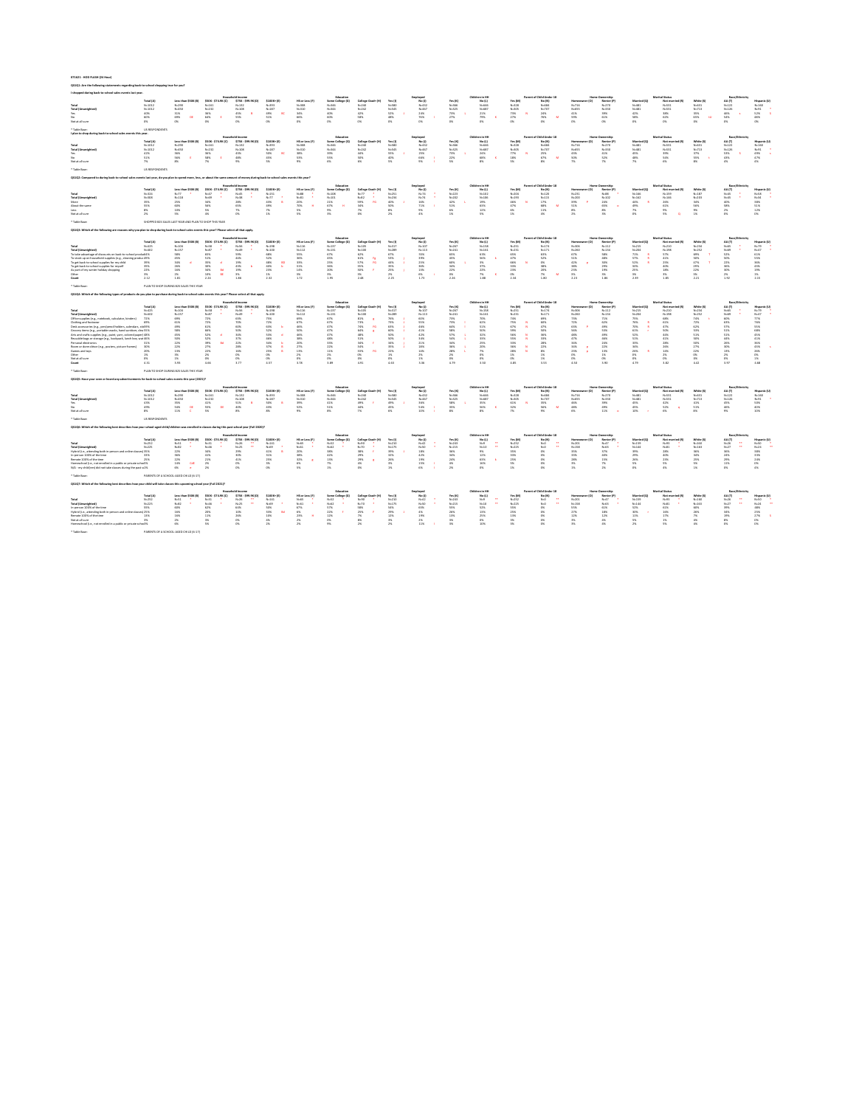# **071621 - HOD FLASH (24 Hour)**

# **QS1Q1: Are the following statements regarding back-to-school shopping true for you?**

## **I shopped during back-to-school sales events last year.**

### \* Table Base: US RESPONDENTS

# **I plan to shop during back-to-school sales events this year.**

\* Table Base: US RESPONDENTS

# **QS1Q2: Compared to during back-to-school sales events last year, do you plan to spend more, less, or about the same amount of money during back-to-school sales events this year?**

\* Table Base: SHOPPED B2S SALES LAST YEAR AND PLAN TO SHOP THIS YEAR

## **QS1Q3: Which of the following are reasons why you plan to shop during back-to-school sales events this year? Please select all that apply.**

**Count** 2.12 1.81 2.24 1.86 2.32 1.72 1.95 2.48 2.25 1.73 2.26 1.88 2.34 1.80 2.23 1.86 2.39 1.85 2.21 1.92 2.15

### \* Table Base: PLAN TO SHOP DURING B2S SALES THIS YEAR

# **QS1Q4: Which of the following types of products do you plan to purchase during back-to-school sales events this year? Please select all that apply.**

|                           |           |                            |                     | Household Income    |                    |                | Educatio                                   |           |       |        |           | Children in HH |           | <b>Parent of Child Under 18</b> |               | <b>Home Ownership</b> |             | <b>Marital Status</b>  |            |             |              |
|---------------------------|-----------|----------------------------|---------------------|---------------------|--------------------|----------------|--------------------------------------------|-----------|-------|--------|-----------|----------------|-----------|---------------------------------|---------------|-----------------------|-------------|------------------------|------------|-------------|--------------|
|                           | Total (A) | <b>Less than \$50K (B)</b> | \$50K - \$74.9K (C) | \$75K - \$99.9K (D) | <b>\$100K+ (E)</b> | HS or Less (F) | Some College (G) College Grad+ (H) Yes (I) |           |       | No (J) | Yes (K)   | No (L)         | Yes (M)   | No (N)                          | Homeowner (O) | Renter (P)            | Married (Q) | <b>Not married (R)</b> | White (S)  | AA (T)      | Hispanic (U) |
| <b>Total</b>              | N=1012    | N=290                      | N=161               | $N = 132$           | N=393              | N=308          | N=346                                      | $N = 240$ | N=580 | N=432  | N=366     | N=646          | $N = 328$ | N=684                           | $N = 716$     | $N = 270$             | N=481       | N=531                  | N=631      | $N = 122$   | $N = 160$    |
| <b>Total (Unweighted)</b> | N=1012    | N=450                      | N=232               | N=108               | N=187              | $N = 310$      | N=344                                      | $N = 242$ | N=545 | N=467  | $N = 325$ | N=687          | N=305     | N=707                           | N=655         | N=330                 | N=481       | N=531                  | $N = 713$  | N=126       | $N=91$       |
|                           | 4በ%       | 31%                        | 36%                 | 45%                 | 49% BC             | 34%            | 40%                                        | 42%       | 52% J | 24%    | 73%       | 21%            | 73% N 24% |                                 | 41%           | 39%                   | 42%         | 38%                    | 35%        | 46% s 52% S |              |
|                           |           | 69% DE                     | 64%                 | 55%                 | 51%                | 66%            | 60%                                        | 58%       | 48%   | 76% 1  | 27%       | 79% K 27%      |           | 76% M 59%                       |               | 61%                   | 58%         | 62%                    | 65% tU 54% |             | 48%          |
| Not at all sure           |           |                            | 0%                  |                     | 0%                 | 0%             | 0%                                         | - 0%      | $0\%$ | 0%     | 0%        | 0%             | 0%        | 0%                              | <u>በ%</u>     | - 0%                  | <u>በ%</u>   |                        | 0%         |             | 0%           |

|                           |           |                            |                     | Household Income    |                   |                | Education        |                   |         | Employed |         | Children in HH |         | <b>Parent of Child Under 18</b> |               | <b>Home Ownership</b> |             | <b>Marital Status</b> |           | <b>Race/Ethnicity</b> |              |
|---------------------------|-----------|----------------------------|---------------------|---------------------|-------------------|----------------|------------------|-------------------|---------|----------|---------|----------------|---------|---------------------------------|---------------|-----------------------|-------------|-----------------------|-----------|-----------------------|--------------|
|                           | Total (A) | <b>Less than \$50K (B)</b> | \$50K - \$74.9K (C) | \$75K - \$99.9K (D) | <b>\$100K+(E)</b> | HS or Less (F) | Some College (G) | College Grad+ (H) | Yes (I) | No (J)   | Yes (K) | No (L)         | Yes (M) | No (N)                          | Homeowner (O) | Renter (P)            | Married (Q) | Not married (R)       | White (S) | AA (T)                | Hispanic (U) |
| <b>Total</b>              | N=1012    | N=290                      | N=161               | N=132               | N=393             | $N = 308$      | N=346            | N=240             | N=580   | N=432    | N=366   | N=646          | N=328   | N=684                           | N=716         | N=270                 | N=481       | N=531                 | N=631     | $N = 122$             | $N = 160$    |
| <b>Total (Unweighted)</b> | N=1012    | N=450                      | N=232               | N=108               | N=187             | $N = 310$      | $N = 344$        | $N = 242$         | N=545   | N=467    | N=325   | N=687          | N=305   | N=707                           | N=655         | N=330                 | N=481       | N=531                 | $N = 713$ | N=126                 | N=91         |
| Yes                       |           | 36%                        | 36%                 |                     |                   | 38%            | 39%              | 44%               | 55%     | 25%      | 73%     | 24%            | 77%     | 25%                             | 43%           | 41%                   | 45%         |                       | 37%       | 53%                   | 49%          |
|                           |           | 56%                        | 58%                 | 48%                 | 45%               | 53%            | 55%              | 50%               | 40%     | 66%      | 22%     | 68%            | 18%     | 67%                             | 50%           | 52%                   | 48%         | 54%                   | 55%       | 43%                   | 47%          |
| Not at all sure           |           |                            |                     |                     |                   | 9%             | 6%               | 6%                | 5%      | 9%       | 5%      | ጸ%             | 5%      | 8%                              |               |                       |             |                       | 8%        | 4%                    | 4%           |

|                           |           |                     |                     |                     |                   |                | Education        |                   |           |        |           | Children in HH |         | <b>Parent of Child Under 18</b> |               |            |             | Marital Status  |           |            |              |
|---------------------------|-----------|---------------------|---------------------|---------------------|-------------------|----------------|------------------|-------------------|-----------|--------|-----------|----------------|---------|---------------------------------|---------------|------------|-------------|-----------------|-----------|------------|--------------|
|                           | Total (A) | Less than \$50K (B) | \$50K - \$74.9K (C) | \$75K - \$99.9K (D) | <b>\$100K+(E)</b> | HS or Less (F) | Some College (G) | College Grad+ (H) | Yes (I)   | No (J) | Yes (K)   | No (L)         | Yes (M) | No (N)                          | Homeowner (O) | Renter (P) | Married (Q) | Not married (R) | White (S) | AA (T)     | Hispanic (U) |
| <b>Total</b>              | N=324     |                     | $N=47$              | $N=45$              | N=151             | N=88           | $N = 108$        | $N = 77$          | $N = 251$ | N=74   | $N = 223$ | $N = 102$      | N=204   | N=120                           | N=231         | N=88       | N=166       | N=159           | N=187     | $N = 45$ * | $N = 58$ *   |
| <b>Total (Unweighted)</b> | N=308     | N=118               | N=69 *              | $N = 38$ *          | $N=77$            | N=81           | N=101            | $N = 82$          | N=234     | N=74   | $N = 202$ | N=106          | N=193   | $N = 115$                       |               | $N = 102$  | N=162       | N=146           | N=203     | N=45 *     | $N = 34$     |
| More                      |           |                     | 34%                 | 28%                 | 43%               | 20%            |                  | 59% FG            | 40%       | 16%    | 42%       | 19%            | 46% N   | 17%                             | 39%           | 24%        | 44% R       |                 | 34%       | 40%        | 38%          |
| About the same            |           | 60%                 |                     | 65%                 | 49%               | 70%            | 67% H            | 34%               | 50%       | 71%    | 51%       | 63%            | 47%     | 68% M                           | 51%           | 65%        | - 49%       |                 | 56%       | 58%        |              |
| Less                      | 8% x      | 10%                 |                     |                     |                   |                |                  |                   | 8%        | 9%     | 6%        | 12%            | 6%      | 11%                             | 8%            | 8%         | 7%          | 9%              | 9%        |            |              |
| Not at all sure           |           | 5%                  | 4%                  |                     |                   |                |                  | በ%                | 2%        | 4%     | 1%        | 5%             |         | 4%                              |               |            |             |                 |           |            |              |

\* Table Base: PLAN TO SHOP DURING B2S SALES THIS YEAR

### **QS1Q5: Have your seen or heard any advertisements for back-to-school sales events this year (2021)?**

|                                                              |           |                     | <b>Household Income</b><br>\$75K - \$99.9K (D)<br>\$50K - \$74.9K (C) |  |          |  |                    |  |                |                  | Employed    |           | <b>Children in HH</b> |           | rent of Child Under 18 |           | <b>Home Ownership</b> |               | <b>Marital Status</b> |                   |                 |           |               |             |
|--------------------------------------------------------------|-----------|---------------------|-----------------------------------------------------------------------|--|----------|--|--------------------|--|----------------|------------------|-------------|-----------|-----------------------|-----------|------------------------|-----------|-----------------------|---------------|-----------------------|-------------------|-----------------|-----------|---------------|-------------|
|                                                              | Total (A) | Less than \$50K (B) |                                                                       |  |          |  | <b>\$100K+ (E)</b> |  | HS or Less (F) | Some College (G) | . Grad+ (H) | Yes (l)   |                       | Yes (K)   | No (L)                 | Yes (M)   | No (N)                | Homeowner (O) | Renter (P             | <b>Married (C</b> | Not married (R) | White (S) | <b>AA (T)</b> | Hispanic (U |
| <b>Total</b>                                                 | $N = 425$ |                     | $N = 58$                                                              |  | N=56     |  | $N = 198$          |  | N=116          | $N = 137$        |             | $N = 317$ | $N = 107$             | $N = 267$ | $N = 158$              | $N = 251$ | $N = 174$             | N=306         |                       | $N = 215$         | $N = 210$       | $N = 234$ | N=65          |             |
| <b>Total (Unweighted)</b>                                    | $N = 402$ | $N = 157$           | $N=87$                                                                |  | $N = 49$ |  | $N = 100$          |  | $N = 112$      | $N = 131$        | N=100       | $N = 289$ | $N = 113$             |           | $N = 161$              | $N = 231$ | $N = 171$             | $N = 260$     | $N = 134$             | $N = 204$         | $N = 198$       | $N = 252$ | N=69          | N=47        |
| To take advantage of discounts on back-to-school produ 64%   |           |                     | 65%                                                                   |  | 59%      |  | 68%                |  | 55%            | 67%              | 62%         |           |                       |           | 63%                    |           | 63%                   |               | 58%                   |                   | 57%             | 69%       | 52%           |             |
| To stock up on household supplies (e.g., cleaning produc 49% |           |                     |                                                                       |  | 44%      |  |                    |  | 36%            | 45%              | 61%         | 53%       | 39%                   |           |                        |           | 52%                   |               | 48%                   |                   | 41%             | 50%       |               |             |
| $\tau$ o get back-to-school supplies for my child            | 39%       |                     |                                                                       |  | 19%      |  | 48%                |  | 33%            | 25%              |             | 44%       |                       |           |                        |           |                       |               |                       |                   | 25%             |           | - 22%         |             |
| o get back-to-school supplies for myself                     | 35%       |                     |                                                                       |  |          |  |                    |  | 31%            |                  |             |           |                       |           |                        |           |                       |               |                       |                   |                 |           |               |             |
| As part of my winter holiday shopping                        | 22%       |                     |                                                                       |  | 19%      |  | 23%                |  | 14%            | 20%              | 30%         | 25%       | 13%                   |           |                        |           | 20%                   |               |                       |                   | 18%             | 22%       |               |             |
| Other                                                        |           |                     |                                                                       |  |          |  |                    |  | 3%             |                  |             |           | 6%                    |           |                        |           |                       |               |                       |                   |                 |           |               |             |

\* Table Base: US RESPONDENTS

### **QS1Q6: Which of the following best describes how your school-aged child/children was enrolled in classes during this past school year (Fall 2020)?**

|                                                                 |           |                     | <b>Household Income</b> |                    |                   |                | Educatior        |                   |           | Employed  |           | <b>Children in HH</b> |           | <b>Parent of Child Under 18</b> |           | <b>Home Ownership</b> |             | <b>Marital Status</b> |           | Race/Ethnicity |             |
|-----------------------------------------------------------------|-----------|---------------------|-------------------------|--------------------|-------------------|----------------|------------------|-------------------|-----------|-----------|-----------|-----------------------|-----------|---------------------------------|-----------|-----------------------|-------------|-----------------------|-----------|----------------|-------------|
|                                                                 | Total (A) | Less than \$50K (B) | \$50K - \$74.9K (C)     | \$75K - \$99.9K (D | <b>\$100K+(E)</b> | HS or Less (F) | Some College (G) | College Grad+ (H) | Yes (l)   | No (J)    | Yes (K)   | No (L)                | Yes (M)   | No (N)                          | Homeowner | Renter (P)            | Married (Q) | Not married (R)       | White (S) | AA (T)         | Hispanic (U |
| <b>Total</b>                                                    | $N = 425$ | $N = 104$           | N=58                    |                    | $N = 198$         | $N = 116$      | $N = 137$        | N=105             | $N = 317$ | $N = 107$ | $N = 267$ | $N = 158$             | $N = 251$ | $N = 174$                       | $N = 306$ | $N = 112$             | $N = 215$   | $N = 210$             | $N = 234$ | $N=65$         | $N=79$      |
| <b>Total (Unweighted)</b>                                       | $N = 402$ | $N = 157$           | $N=87$                  | $N=49$             | $N = 100$         | $N = 112$      | $N = 131$        | $N = 100$         | $N = 289$ | $N = 113$ | $N = 241$ | $N = 161$             | $N = 231$ | $N = 171$                       | $N = 260$ | $N = 134$             | $N = 204$   | $N = 198$             | $N = 252$ | $N=69$         | $N=47$      |
| Office supplies (e.g., notebook, calculator, binders)           | 72%       | 69%                 | 72%                     | 63%                | 75%               | 69%            | 67%              | 81%               | 76%       | 60%       | 73%       | 70%                   | 74%       | 69%                             | 73%       |                       | 75%         | 68%                   | 74%       | 60%            |             |
| Clothing and footwear                                           | 69%       |                     |                         |                    |                   | 67%            | 67%              | 73%               | 73%       | 55%       | 73%       | 62%                   |           | 60%                             |           |                       | 76%         | 61%                   |           | 63%            |             |
| Desk accessories (e.g., pen/pencil holders, calendars, sti 59%  |           |                     |                         |                    | 63%               | 46%            | 47%              | 74%               | 63%       | 46%       | 64%       | 51%                   |           | 47%                             |           |                       | 70%         | 47%                   |           |                |             |
| Grocery items (e.g., portable snacks, hand sanitizer, clea 55%  |           | 58%                 | 66%                     |                    | 52%               | 50%            | 47%              | 64%               | 60%       | 41%       | 58%       | 50%                   |           |                                 |           |                       |             |                       |           | 51%            |             |
| Arts and crafts supplies (e.g., paint, yarn, colored paper) 48% |           | 45%                 | 52%                     | 34%                | 53%               | 46%            | 47%              | 48%               | 50%       | 42%       | 57%       | 32%                   | 56%       | 36%                             |           |                       |             | 44%                   | 51%       | 51%            |             |
| Reusable bags or storage (e.g., backpack, lunch box, wat 46%    |           | 50%                 | 52%                     | 37%                | 46%               | 38%            | 48%              | 51%               | 50%       | 34%       | 54%       | 33%                   | 55%       | 33%                             | 47%       |                       |             | 41%                   | 50%       | 44%            |             |
| Personal electronics                                            | 31%       | 22%                 | 39%                     | 22%                | 34%               | 20%            | 33%              | 34%               | 34%       |           | 34%       | 25%                   |           | 28%                             |           |                       |             |                       |           | 26%            |             |
| Room or dorm décor (e.g., posters, picture frames)              | 30%       |                     | 27%                     | 28%                | 37%               | 27%            | 22%              | 34%               | 35%       | 18%       | 36%       | 20%                   | ih%       | 22%                             |           |                       |             |                       |           | 30%            |             |
| Games and toys                                                  | 20%       |                     | 22%                     | 16%                | 25%               | 13%            | 11%              | 33%               | 22%       | 14%       | 28%       |                       | 28%       | 8%                              |           |                       |             |                       |           |                |             |
| Other                                                           |           |                     |                         |                    |                   |                |                  |                   |           |           |           |                       |           | 1%                              |           |                       |             |                       |           |                |             |
| Not at all sure                                                 |           |                     | . O%                    |                    |                   | 0%             |                  |                   |           |           |           |                       |           | 1%                              |           |                       |             |                       |           |                |             |
| Count                                                           | 4.31      |                     | 4.66                    | 3.77               | 4.57              | 3.78           | 3.89             | 4.91              | 4.63      | 3.36      | 4.79      | 3.50                  | 4.85      | 3.53                            | 4.50      | 3.90                  | 4.79        | 3.82                  | 4.42      | 3.97           |             |
|                                                                 |           |                     |                         |                    |                   |                |                  |                   |           |           |           |                       |           |                                 |           |                       |             |                       |           |                |             |

|                           |           |                     |                     | <b>Household Income</b> |                   |                | Education               |                   |         |           |           | Children in HH |           | <b>Parent of Child Under 18</b> |       | <b>Home Ownership</b> |             | <b>Marital Status</b> |           | <b>Race/Ethnicity</b> |              |
|---------------------------|-----------|---------------------|---------------------|-------------------------|-------------------|----------------|-------------------------|-------------------|---------|-----------|-----------|----------------|-----------|---------------------------------|-------|-----------------------|-------------|-----------------------|-----------|-----------------------|--------------|
|                           | Total (A) | Less than \$50K (B) | \$50K - \$74.9K (C) | \$75K - \$99.9K (D)     | <b>\$100K+(E)</b> | HS or Less (F) | <b>Some College (G)</b> | College Grad+ (H) | Yes (l) | No (J)    | Yes (K)   | No (L)         | Yes (M)   | No (N)                          |       | Renter (P)            | Married (Q) | Not married (R)       | White (S) | AA (T)                | Hispanic (U) |
| <b>Total</b>              | N=1012    | N=290               | N=161               | N=132                   | N=393             | N=308          | N=346                   | $N = 240$         | N=580   | $N = 432$ | $N = 366$ | N=646          | $N = 328$ | N=684                           | N=716 | $N = 270$             | N=481       | N=531                 | N=631     | N=122                 | N=160        |
| <b>Total (Unweighted)</b> | N=1012    | N=450               | $N = 232$           | N=108                   | N=187             | $N = 310$      | $N = 344$               | N=242             | N=545   | N=467     | N=325     | N=687          | $N = 305$ | N=707                           | N=655 | $N = 330$             | N=481       | N=531                 | N=713     | N=126                 | $N=91$       |
| Yes                       |           | 35%                 | 41%                 | 51%                     | 50%               | 39%            | 41%                     | 49%               | 49% J   | 36%       | 58%       | 35%            | 61% N 35% |                                 | 46%   | 39%                   | 45%         | 42%                   | 41%       | 45%                   | 50%          |
|                           |           | 54% DE 55% DE       |                     | 40%                     | 43%               | 52%            | 51%                     | 44%               | 45%     | 54%       | 35%       | 56%            | 32%       | 56%                             | 48%   | 49%                   | 45%         | 52%                   | 51%       | 46%                   | 40%          |
| Not at all sure           |           | $11\%$              | 5%                  |                         | 8% <b>አ</b>       | 9%             | ጸ%                      | 7%                | 6%      | 10%       | 8%        |                | 7%        | 9%                              |       |                       | 10%         |                       |           |                       |              |

\* Table Base: PARENTS OF A SCHOOL-AGED CHILD (6-17)

### **QS1Q7: Which of the following best describes how your child will take classes this upcoming school year (Fall 2021)?**

|                                        |           |                     |       |                     | <b>Household Income</b> |              |                |        | Educatio         |      |                   |           | employet |           | <b>Children in HH</b> |    |         | <b>Parent of Child Under 18</b> |               | <b>Home Ownership</b> |             | <b>Marital Status</b> |           |        | Race/Ethnicity |              |       |
|----------------------------------------|-----------|---------------------|-------|---------------------|-------------------------|--------------|----------------|--------|------------------|------|-------------------|-----------|----------|-----------|-----------------------|----|---------|---------------------------------|---------------|-----------------------|-------------|-----------------------|-----------|--------|----------------|--------------|-------|
|                                        | Total (A) | Less than \$50K (B) |       | \$50K - \$74.9K (C) | \$75K - \$99.9K (D      | $$100K+$ (E) | HS or Less (F) |        | Some College (G) |      | College Grad+ (H) | Yes (l)   | No (J)   | Yes (K)   | No (L)                |    | Yes (M) | No (N)                          | Homeowner (O) | Renter (P)            | Married (Q) | Not married (R)       | White (S) | AA (T) |                | Hispanic (U) |       |
| <b>Total</b>                           | $N = 252$ | $N=51$              |       | $N = 31$            | $N=26$                  | $N = 141$    | $N=65$         | $N=52$ |                  | N=90 |                   | $N = 210$ | $N = 42$ | $N = 243$ |                       | ** | N=252   |                                 | $N = 201$     |                       | $N = 159$   | $N = 93$              | $N = 160$ |        | **             | $N=50$       |       |
| <b>Total (Unweighted)</b>              | $N = 225$ | $N=82$              |       | N=46                | $N=25$                  | $N = 69$     | $N=61$         |        |                  | N=70 |                   | $N = 175$ | $N=50$   | $N = 215$ | $N = 10$              | ** | $N=225$ | $N=0$                           | $N = 158$     | $N=63$                | $N = 144$   | N=81                  | $N = 163$ | N=27   | **             | $N=24$       | $***$ |
| Hybrid (i.e., attending both in-person |           |                     |       | 34%                 | 29%                     |              | 20%            | 38%    |                  | 38%  |                   | 39%       | 18%      | 36%       |                       |    |         |                                 |               |                       | 39%         | 28%                   | 36%       |        |                | 38%          |       |
| In-person 100% of the time             |           |                     |       | 41%                 | 30%                     |              | 38%            | 42%    |                  | 29%  |                   | 32%       | 42%      | 34%       |                       |    |         |                                 |               | 40%                   | 29%         |                       | 34%       |        |                | 33%          |       |
| Remote 100% of the time                |           |                     |       |                     | 41%                     | 25%          | 32%            | 13%    |                  | 29%  |                   | 26%       | 19%      | 24%       |                       |    |         |                                 |               |                       | 26%         | 23%                   | 25%       |        |                | 24%          |       |
| - Homeschool (i.e., not enrolle        |           |                     | CdE - |                     |                         |              | 6%             | $1\%$  |                  | 4%   |                   | 3%        | 15%      | 4%        |                       |    |         |                                 |               |                       |             |                       | 5%        |        |                |              |       |
| N/A - mv child(ren                     |           | ხ%                  |       |                     |                         |              | 5%             |        |                  |      |                   | 1%        |          |           |                       |    |         |                                 |               |                       |             |                       |           |        |                | 4%           |       |

|                                    |           |                     |                     | <b>Household Income</b> |             |                | Education        |                   |           | Employed |           | Children in HH |           | <b>Parent of Child Under 18</b> |               | <b>Home Ownership</b> |             | <b>Marital Status</b> |           | Race/Ethnicity |              |
|------------------------------------|-----------|---------------------|---------------------|-------------------------|-------------|----------------|------------------|-------------------|-----------|----------|-----------|----------------|-----------|---------------------------------|---------------|-----------------------|-------------|-----------------------|-----------|----------------|--------------|
|                                    | Total (A) | Less than \$50K (B) | \$50K - \$74.9K (C) | \$75K - \$99.9K (D      | \$100K+ (E) | HS or Less (F) | Some College (G) | College Grad+ (H) | Yes (l)   | No (J)   | Yes (K)   | No (L)         | Yes (M)   | No (N)                          | Homeowner (O) | Renter (P)            | Married (Q) | Not married (R)       | White (S) | AA (T)         | Hispanic (U) |
| <b>Total</b>                       | $N = 252$ | $N=51$              | N=31                | $N=26$                  | $N = 141$   | N=65           | N=52             | N=90              | N=210     | $N = 42$ | N=243     | $N=9$          | $N = 252$ | $N = 0$                         | N=201         | N=47                  | N=159       | $N = 93$              |           | $N=26$         | N=50         |
| <b>Total (Unweighted)</b>          | $N = 225$ | N=82                | $N=46$              | N=25                    | $N=69$      | $N=61$         |                  | $N = 70$          | $N = 175$ | $N=50$   | $N = 215$ | $N=10$<br>። ጥጥ | $N = 225$ | $N=0$                           | $N = 158$     | $N=63$                | $N = 144$   | $N = 81$              | $N = 163$ | $N=27$         | N=24         |
| In-person 100% of the time         |           | -60%                | 62%                 | 64%                     |             | 67%            |                  | 58%               | 54%       | 63%      | 55%       |                | 55% .     |                                 |               |                       |             |                       |           |                |              |
| Hybrid (i.e., attending both in-pe |           | 16%                 | 20%                 |                         |             | 6%             |                  | 25%               | 29%       | 4%       | 26%       | 13%            | 25%       |                                 |               | 18%                   | 30%         |                       |           |                |              |
| Remote 100% of the time            |           | 16%                 |                     | 26%                     |             | 23%            |                  | 7%                | 12%       | 19%      | 13%       | 25%            |           |                                 |               |                       |             |                       |           |                |              |
| Not at all sure                    |           |                     |                     |                         |             |                |                  | 8%                |           |          |           |                |           |                                 |               |                       |             |                       |           |                |              |
|                                    |           |                     |                     |                         |             |                |                  |                   |           | 11%      | 3%        |                |           |                                 |               |                       |             |                       |           |                |              |

\* Table Base: PARENTS OF A SCHOOL-AGED CHILD (6-17)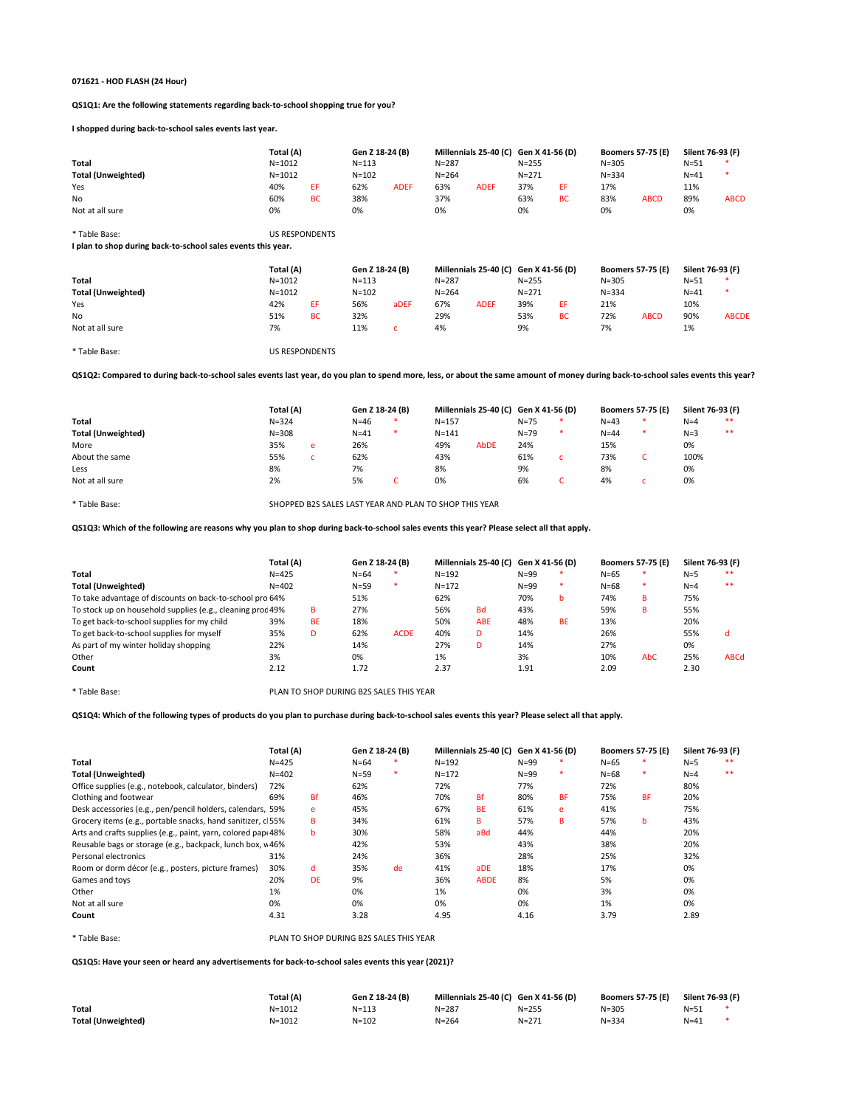#### **071621 - HOD FLASH (24 Hour)**

**QS1Q1: Are the following statements regarding back-to-school shopping true for you?**

**I shopped during back-to-school sales events last year.**

|                                                              | Total (A)             |           | Gen Z 18-24 (B) |              |           | Millennials 25-40 (C) Gen X 41-56 (D) |                                       |           |                          | <b>Boomers 57-75 (E)</b> | Silent 76-93 (F) |              |
|--------------------------------------------------------------|-----------------------|-----------|-----------------|--------------|-----------|---------------------------------------|---------------------------------------|-----------|--------------------------|--------------------------|------------------|--------------|
| <b>Total</b>                                                 | $N = 1012$            |           | $N = 113$       |              | $N = 287$ |                                       | $N = 255$                             |           | $N = 305$                |                          | $N=51$           |              |
| <b>Total (Unweighted)</b>                                    | $N = 1012$            |           | $N = 102$       |              | $N = 264$ |                                       | $N = 271$                             |           | $N = 334$                |                          | $N=41$           |              |
| Yes                                                          | 40%                   | EF.       | 62%             | <b>ADEF</b>  | 63%       | <b>ADEF</b>                           | 37%                                   | EF.       | 17%                      |                          | 11%              |              |
| No                                                           | 60%                   | <b>BC</b> | 38%             |              | 37%       |                                       | 63%                                   | <b>BC</b> | 83%                      | <b>ABCD</b>              | 89%              | <b>ABCD</b>  |
| Not at all sure                                              | 0%                    |           | 0%              |              | 0%        |                                       | 0%                                    |           | 0%                       |                          | 0%               |              |
| * Table Base:                                                | <b>US RESPONDENTS</b> |           |                 |              |           |                                       |                                       |           |                          |                          |                  |              |
| I plan to shop during back-to-school sales events this year. |                       |           |                 |              |           |                                       |                                       |           |                          |                          |                  |              |
|                                                              |                       |           | Gen Z 18-24 (B) |              |           |                                       | Millennials 25-40 (C) Gen X 41-56 (D) |           | <b>Boomers 57-75 (E)</b> |                          | Silent 76-93 (F) |              |
|                                                              | Total (A)             |           |                 |              |           |                                       |                                       |           |                          |                          |                  |              |
| <b>Total</b>                                                 | $N = 1012$            |           | $N = 113$       |              | $N = 287$ |                                       | $N = 255$                             |           | $N = 305$                |                          | $N=51$           |              |
| <b>Total (Unweighted)</b>                                    | $N = 1012$            |           | $N = 102$       |              | $N = 264$ |                                       | $N = 271$                             |           | $N = 334$                |                          | $N=41$           |              |
| Yes                                                          | 42%                   | EF.       | 56%             | aDEF         | 67%       | <b>ADEF</b>                           | 39%                                   | EF.       | 21%                      |                          | 10%              |              |
| No                                                           | 51%                   | <b>BC</b> | 32%             |              | 29%       |                                       | 53%                                   | <b>BC</b> | 72%                      | <b>ABCD</b>              | 90%              | <b>ABCDE</b> |
| Not at all sure                                              | 7%                    |           | 11%             | $\mathsf{C}$ | 4%        |                                       | 9%                                    |           | 7%                       |                          | 1%               |              |

**QS1Q2: Compared to during back-to-school sales events last year, do you plan to spend more, less, or about the same amount of money during back-to-school sales events this year?**

|                           | Total (A) |   | Gen Z 18-24 (B) | Millennials 25-40 (C) Gen X 41-56 (D) |      |          |   | <b>Boomers 57-75 (E)</b> |        | Silent 76-93 (F) |       |
|---------------------------|-----------|---|-----------------|---------------------------------------|------|----------|---|--------------------------|--------|------------------|-------|
| <b>Total</b>              | $N = 324$ |   | $N = 46$        | $N = 157$                             |      | N=75     | ∗ | $N=43$                   | $\ast$ | $N=4$            | $**$  |
| <b>Total (Unweighted)</b> | $N = 308$ |   | $N = 41$        | $N = 141$                             |      | $N = 79$ | ∗ | $N = 44$                 | ∗      | $N=3$            | $***$ |
| More                      | 35%       | e | 26%             | 49%                                   | AbDE | 24%      |   | 15%                      |        | 0%               |       |
| About the same            | 55%       |   | 62%             | 43%                                   |      | 61%      |   | 73%                      |        | 100%             |       |
| Less                      | 8%        |   | 7%              | 8%                                    |      | 9%       |   | 8%                       |        | 0%               |       |
| Not at all sure           | 2%        |   | 5%              | 0%                                    |      | 6%       |   | 4%                       |        | 0%               |       |

\* Table Base: SHOPPED B2S SALES LAST YEAR AND PLAN TO SHOP THIS YEAR

**QS1Q3: Which of the following are reasons why you plan to shop during back-to-school sales events this year? Please select all that apply.**

|                                                            | Total (A) |           | Gen Z 18-24 (B) |             |           | Millennials 25-40 (C) Gen X 41-56 (D) |          |           | <b>Boomers 57-75 (E)</b> |            | Silent 76-93 (F) |             |
|------------------------------------------------------------|-----------|-----------|-----------------|-------------|-----------|---------------------------------------|----------|-----------|--------------------------|------------|------------------|-------------|
| <b>Total</b>                                               | $N = 425$ |           | $N = 64$        | ∗.          | $N = 192$ |                                       | $N = 99$ | ∗         | $N=65$                   |            | $N=5$            | **          |
| <b>Total (Unweighted)</b>                                  | $N = 402$ |           | $N = 59$        | ∗           | $N = 172$ |                                       | $N = 99$ | ∗         | $N = 68$                 | $\ast$     | $N=4$            | $**$        |
| To take advantage of discounts on back-to-school pro 64%   |           |           | 51%             |             | 62%       |                                       | 70%      | b         | 74%                      | B          | 75%              |             |
| To stock up on household supplies (e.g., cleaning proc 49% |           | B         | 27%             |             | 56%       | <b>Bd</b>                             | 43%      |           | 59%                      | B          | 55%              |             |
| To get back-to-school supplies for my child                | 39%       | <b>BE</b> | 18%             |             | 50%       | <b>ABE</b>                            | 48%      | <b>BE</b> | 13%                      |            | 20%              |             |
| To get back-to-school supplies for myself                  | 35%       | D         | 62%             | <b>ACDE</b> | 40%       | D                                     | 14%      |           | 26%                      |            | 55%              | d           |
| As part of my winter holiday shopping                      | 22%       |           | 14%             |             | 27%       | D                                     | 14%      |           | 27%                      |            | 0%               |             |
| Other                                                      | 3%        |           | 0%              |             | 1%        |                                       | 3%       |           | 10%                      | <b>AbC</b> | 25%              | <b>ABCd</b> |
| Count                                                      | 2.12      |           | 1.72            |             | 2.37      |                                       | 1.91     |           | 2.09                     |            | 2.30             |             |

\* Table Base: PLAN TO SHOP DURING B2S SALES THIS YEAR

|                                                              | Total (A) |           | Gen Z 18-24 (B) |    |           | Millennials 25-40 (C) Gen X 41-56 (D) |          |           |          | <b>Boomers 57-75 (E)</b> | Silent 76-93 (F) |       |
|--------------------------------------------------------------|-----------|-----------|-----------------|----|-----------|---------------------------------------|----------|-----------|----------|--------------------------|------------------|-------|
| <b>Total</b>                                                 | $N = 425$ |           | $N=64$          | ∗  | $N = 192$ |                                       | $N = 99$ | ∗         | $N=65$   | ∗                        | $N=5$            | $* *$ |
| <b>Total (Unweighted)</b>                                    | $N = 402$ |           | $N = 59$        | ∗  | $N = 172$ |                                       | $N=99$   | ∗         | $N = 68$ | ∗                        | $N=4$            | $***$ |
| Office supplies (e.g., notebook, calculator, binders)        | 72%       |           | 62%             |    | 72%       |                                       | 77%      |           | 72%      |                          | 80%              |       |
| Clothing and footwear                                        | 69%       | <b>Bf</b> | 46%             |    | 70%       | <b>Bf</b>                             | 80%      | <b>BF</b> | 75%      | <b>BF</b>                | 20%              |       |
| Desk accessories (e.g., pen/pencil holders, calendars, 59%   |           | e         | 45%             |    | 67%       | <b>BE</b>                             | 61%      | e         | 41%      |                          | 75%              |       |
| Grocery items (e.g., portable snacks, hand sanitizer, cl55%  |           | B         | 34%             |    | 61%       | B                                     | 57%      | B         | 57%      | b                        | 43%              |       |
| Arts and crafts supplies (e.g., paint, yarn, colored pap 48% |           | b.        | 30%             |    | 58%       | aBd                                   | 44%      |           | 44%      |                          | 20%              |       |
| Reusable bags or storage (e.g., backpack, lunch box, v46%    |           |           | 42%             |    | 53%       |                                       | 43%      |           | 38%      |                          | 20%              |       |
| Personal electronics                                         | 31%       |           | 24%             |    | 36%       |                                       | 28%      |           | 25%      |                          | 32%              |       |
| Room or dorm décor (e.g., posters, picture frames)           | 30%       | d         | 35%             | de | 41%       | aDE                                   | 18%      |           | 17%      |                          | 0%               |       |
| Games and toys                                               | 20%       | <b>DE</b> | 9%              |    | 36%       | <b>ABDE</b>                           | 8%       |           | 5%       |                          | 0%               |       |
| Other                                                        | 1%        |           | 0%              |    | 1%        |                                       | 0%       |           | 3%       |                          | 0%               |       |
| Not at all sure                                              | 0%        |           | 0%              |    | 0%        |                                       | 0%       |           | 1%       |                          | 0%               |       |
| Count                                                        | 4.31      |           | 3.28            |    | 4.95      |                                       | 4.16     |           | 3.79     |                          | 2.89             |       |

### \* Table Base: PLAN TO SHOP DURING B2S SALES THIS YEAR

#### **QS1Q5: Have your seen or heard any advertisements for back-to-school sales events this year (2021)?**

|                           | Total (A)  | Gen Z 18-24 (B) | Millennials 25-40 (C) Gen X 41-56 (D) |           | <b>Boomers 57-75 (E)</b> | Silent 76-93 (F) |  |
|---------------------------|------------|-----------------|---------------------------------------|-----------|--------------------------|------------------|--|
| <b>Total</b>              | $N = 1012$ | $N = 113$       | $N = 287$                             | $N = 255$ | $N = 305$                | $N = 51$         |  |
| <b>Total (Unweighted)</b> | $N = 1012$ | $N = 102$       | N=264                                 | $N = 271$ | $N = 334$                | $N = 41$         |  |